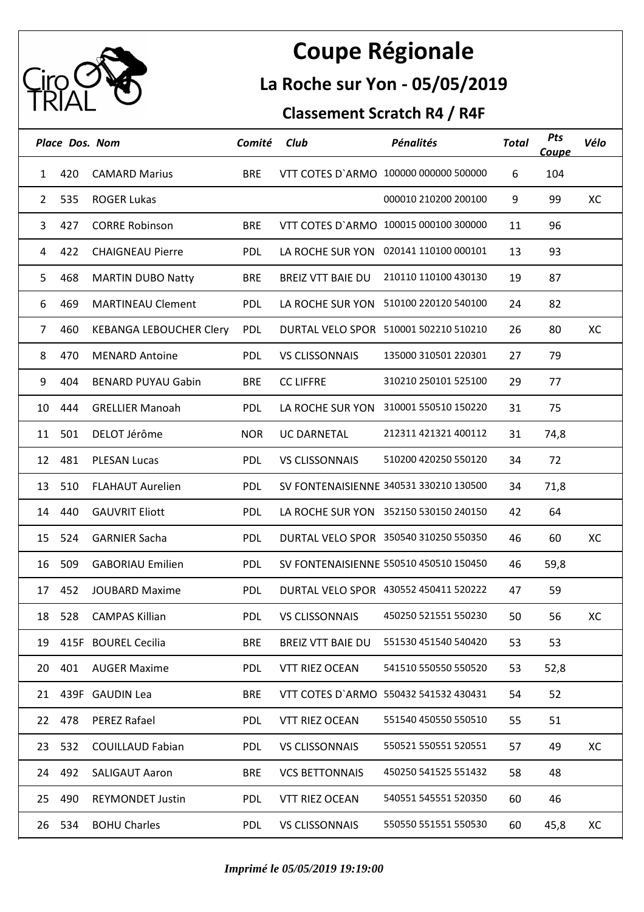

## **Coupe Régionale**

## **La Roche sur Yon - 05/05/2019**

## **Classement Scratch R4 / R4F**

|                | <b>Place Dos. Nom</b> |                                | Comité     | Club                     | <b>Pénalités</b>                       | <b>Total</b> | Pts<br><u>Coupe</u> | Vélo |
|----------------|-----------------------|--------------------------------|------------|--------------------------|----------------------------------------|--------------|---------------------|------|
| 1              | 420                   | <b>CAMARD Marius</b>           | <b>BRE</b> |                          | VTT COTES D'ARMO 100000 000000 500000  | 6            | 104                 |      |
| $\overline{2}$ | 535                   | <b>ROGER Lukas</b>             |            |                          | 000010 210200 200100                   | 9            | 99                  | XC   |
| 3              | 427                   | <b>CORRE Robinson</b>          | <b>BRE</b> |                          | VTT COTES D'ARMO 100015 000100 300000  | 11           | 96                  |      |
| 4              | 422                   | <b>CHAIGNEAU Pierre</b>        | PDL        |                          | LA ROCHE SUR YON 020141 110100 000101  | 13           | 93                  |      |
| 5              | 468                   | <b>MARTIN DUBO Natty</b>       | <b>BRE</b> | <b>BREIZ VTT BAIE DU</b> | 210110 110100 430130                   | 19           | 87                  |      |
| 6              | 469                   | <b>MARTINEAU Clement</b>       | PDL        |                          | LA ROCHE SUR YON 510100 220120 540100  | 24           | 82                  |      |
| 7              | 460                   | <b>KEBANGA LEBOUCHER Clery</b> | PDL        |                          | DURTAL VELO SPOR 510001 502210 510210  | 26           | 80                  | XC   |
| 8              | 470                   | <b>MENARD Antoine</b>          | PDL        | <b>VS CLISSONNAIS</b>    | 135000 310501 220301                   | 27           | 79                  |      |
| 9              | 404                   | <b>BENARD PUYAU Gabin</b>      | <b>BRE</b> | <b>CC LIFFRE</b>         | 310210 250101 525100                   | 29           | 77                  |      |
| 10             | 444                   | <b>GRELLIER Manoah</b>         | PDL        |                          | LA ROCHE SUR YON 310001 550510 150220  | 31           | 75                  |      |
| 11             | 501                   | DELOT Jérôme                   | <b>NOR</b> | <b>UC DARNETAL</b>       | 212311 421321 400112                   | 31           | 74,8                |      |
| 12             | 481                   | <b>PLESAN Lucas</b>            | PDL        | <b>VS CLISSONNAIS</b>    | 510200 420250 550120                   | 34           | 72                  |      |
| 13             | 510                   | <b>FLAHAUT Aurelien</b>        | <b>PDL</b> |                          | SV FONTENAISIENNE 340531 330210 130500 | 34           | 71,8                |      |
| 14             | 440                   | <b>GAUVRIT Eliott</b>          | <b>PDL</b> |                          | LA ROCHE SUR YON 352150 530150 240150  | 42           | 64                  |      |
| 15             | 524                   | <b>GARNIER Sacha</b>           | <b>PDL</b> |                          | DURTAL VELO SPOR 350540 310250 550350  | 46           | 60                  | XC   |
| 16             | 509                   | <b>GABORIAU Emilien</b>        | PDL        |                          | SV FONTENAISIENNE 550510 450510 150450 | 46           | 59,8                |      |
| 17             | 452                   | <b>JOUBARD Maxime</b>          | <b>PDL</b> |                          | DURTAL VELO SPOR 430552 450411 520222  | 47           | 59                  |      |
|                |                       | 18 528 CAMPAS Killian          |            | PDL VS CLISSONNAIS       | 450250 521551 550230                   | 50           | 56                  | XC   |
| 19             |                       | 415F BOUREL Cecilia            | <b>BRE</b> | <b>BREIZ VTT BAIE DU</b> | 551530 451540 540420                   | 53           | 53                  |      |
| 20             | 401                   | <b>AUGER Maxime</b>            | <b>PDL</b> | <b>VTT RIEZ OCEAN</b>    | 541510 550550 550520                   | 53           | 52,8                |      |
| 21             |                       | 439F GAUDIN Lea                | <b>BRE</b> |                          | VTT COTES D'ARMO 550432 541532 430431  | 54           | 52                  |      |
|                | 22 478                | <b>PEREZ Rafael</b>            | PDL        | <b>VTT RIEZ OCEAN</b>    | 551540 450550 550510                   | 55           | 51                  |      |
| 23             | 532                   | <b>COUILLAUD Fabian</b>        | <b>PDL</b> | <b>VS CLISSONNAIS</b>    | 550521 550551 520551                   | 57           | 49                  | XC   |
| 24             | 492                   | <b>SALIGAUT Aaron</b>          | <b>BRE</b> | <b>VCS BETTONNAIS</b>    | 450250 541525 551432                   | 58           | 48                  |      |
| 25             | 490                   | <b>REYMONDET Justin</b>        | <b>PDL</b> | <b>VTT RIEZ OCEAN</b>    | 540551 545551 520350                   | 60           | 46                  |      |
| 26             | 534                   | <b>BOHU Charles</b>            | <b>PDL</b> | <b>VS CLISSONNAIS</b>    | 550550 551551 550530                   | 60           | 45,8                | XC   |